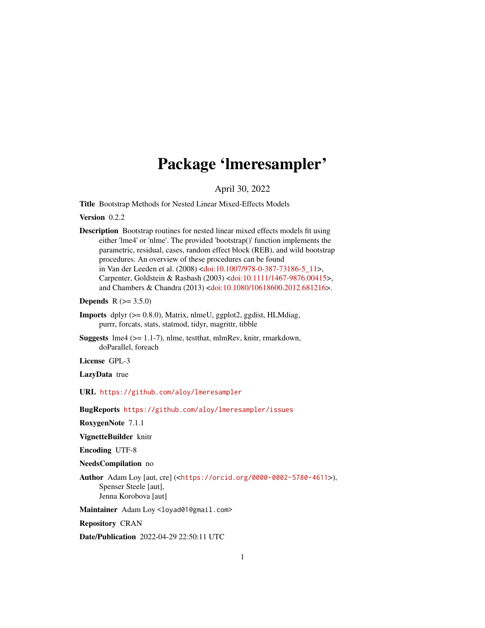# Package 'lmeresampler'

April 30, 2022

<span id="page-0-0"></span>Title Bootstrap Methods for Nested Linear Mixed-Effects Models

Version 0.2.2

Description Bootstrap routines for nested linear mixed effects models fit using either 'lme4' or 'nlme'. The provided 'bootstrap()' function implements the parametric, residual, cases, random effect block (REB), and wild bootstrap procedures. An overview of these procedures can be found in Van der Leeden et al. (2008) [<doi:10.1007/978-0-387-73186-5\\_11>](https://doi.org/10.1007/978-0-387-73186-5_11), Carpenter, Goldstein & Rasbash (2003) [<doi:10.1111/1467-9876.00415>](https://doi.org/10.1111/1467-9876.00415), and Chambers & Chandra (2013) [<doi:10.1080/10618600.2012.681216>](https://doi.org/10.1080/10618600.2012.681216).

**Depends** R  $(>= 3.5.0)$ 

- Imports dplyr (>= 0.8.0), Matrix, nlmeU, ggplot2, ggdist, HLMdiag, purrr, forcats, stats, statmod, tidyr, magrittr, tibble
- Suggests lme4 (>= 1.1-7), nlme, testthat, mlmRev, knitr, rmarkdown, doParallel, foreach

License GPL-3

LazyData true

URL <https://github.com/aloy/lmeresampler>

BugReports <https://github.com/aloy/lmeresampler/issues>

RoxygenNote 7.1.1

VignetteBuilder knitr

Encoding UTF-8

NeedsCompilation no

Author Adam Loy [aut, cre] (<<https://orcid.org/0000-0002-5780-4611>>), Spenser Steele [aut], Jenna Korobova [aut]

Maintainer Adam Loy <loyad01@gmail.com>

Repository CRAN

Date/Publication 2022-04-29 22:50:11 UTC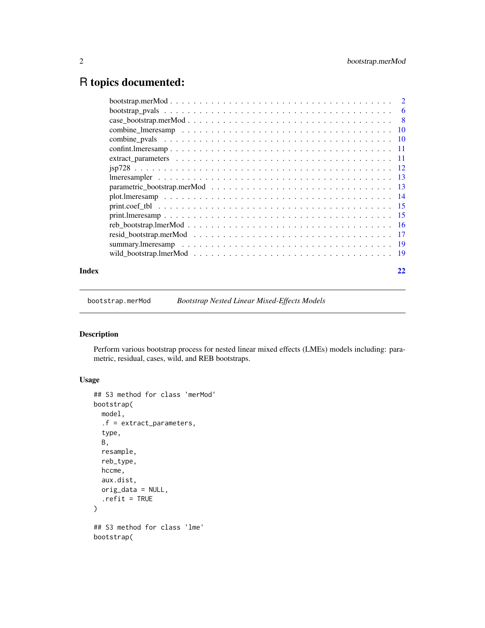# <span id="page-1-0"></span>R topics documented:

| Index |  |
|-------|--|

bootstrap.merMod *Bootstrap Nested Linear Mixed-Effects Models*

# <span id="page-1-1"></span>Description

Perform various bootstrap process for nested linear mixed effects (LMEs) models including: parametric, residual, cases, wild, and REB bootstraps.

```
## S3 method for class 'merMod'
bootstrap(
 model,
  .f = extract_parameters,
  type,
 B,
  resample,
  reb_type,
 hccme,
  aux.dist,
 orig_data = NULL,
  .refit = TRUE
\lambda## S3 method for class 'lme'
bootstrap(
```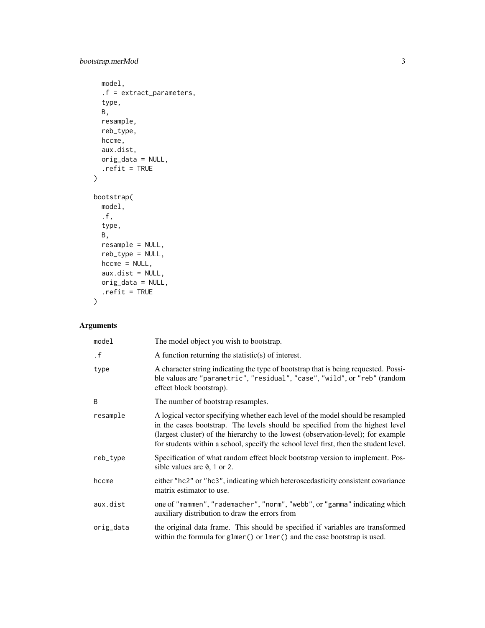# bootstrap.merMod 3

```
model,
  .f = extract_parameters,
 type,
 B,
 resample,
 reb_type,
 hccme,
 aux.dist,
 orig_data = NULL,
  .refit = TRUE
\mathcal{L}bootstrap(
 model,
  .f,
  type,
 B,
 resample = NULL,
 reb_type = NULL,
 hccme = NULL,aux.dist = NULL,orig_data = NULL,
  .refit = TRUE\mathcal{L}
```
# Arguments

| model     | The model object you wish to bootstrap.                                                                                                                                                                                                                                                                                                        |
|-----------|------------------------------------------------------------------------------------------------------------------------------------------------------------------------------------------------------------------------------------------------------------------------------------------------------------------------------------------------|
| $\cdot$ f | A function returning the statistic(s) of interest.                                                                                                                                                                                                                                                                                             |
| type      | A character string indicating the type of bootstrap that is being requested. Possi-<br>ble values are "parametric", "residual", "case", "wild", or "reb" (random<br>effect block bootstrap).                                                                                                                                                   |
| B         | The number of bootstrap resamples.                                                                                                                                                                                                                                                                                                             |
| resample  | A logical vector specifying whether each level of the model should be resampled<br>in the cases bootstrap. The levels should be specified from the highest level<br>(largest cluster) of the hierarchy to the lowest (observation-level); for example<br>for students within a school, specify the school level first, then the student level. |
| reb_type  | Specification of what random effect block bootstrap version to implement. Pos-<br>sible values are $\theta$ , 1 or 2.                                                                                                                                                                                                                          |
| hccme     | either "hc2" or "hc3", indicating which heteroscedasticity consistent covariance<br>matrix estimator to use.                                                                                                                                                                                                                                   |
| aux.dist  | one of "mammen", "rademacher", "norm", "webb", or "gamma" indicating which<br>auxiliary distribution to draw the errors from                                                                                                                                                                                                                   |
| orig_data | the original data frame. This should be specified if variables are transformed<br>within the formula for glmer() or lmer() and the case bootstrap is used.                                                                                                                                                                                     |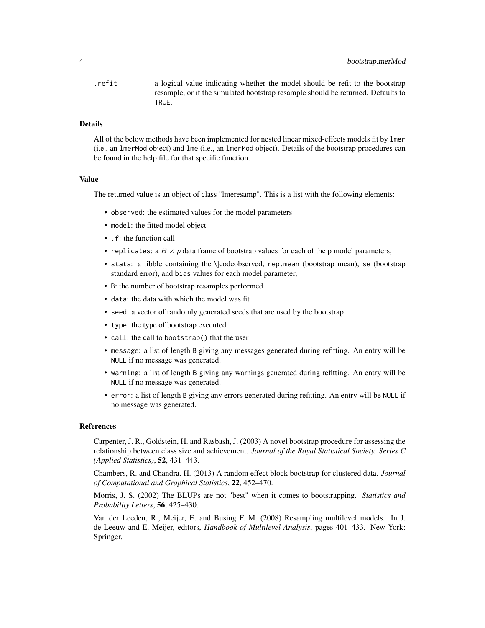.refit a logical value indicating whether the model should be refit to the bootstrap resample, or if the simulated bootstrap resample should be returned. Defaults to TRUE.

### Details

All of the below methods have been implemented for nested linear mixed-effects models fit by lmer (i.e., an lmerMod object) and lme (i.e., an lmerMod object). Details of the bootstrap procedures can be found in the help file for that specific function.

#### Value

The returned value is an object of class "lmeresamp". This is a list with the following elements:

- observed: the estimated values for the model parameters
- model: the fitted model object
- .f: the function call
- replicates: a  $B \times p$  data frame of bootstrap values for each of the p model parameters,
- stats: a tibble containing the \loodeobserved, rep.mean (bootstrap mean), se (bootstrap standard error), and bias values for each model parameter,
- B: the number of bootstrap resamples performed
- data: the data with which the model was fit
- seed: a vector of randomly generated seeds that are used by the bootstrap
- type: the type of bootstrap executed
- call: the call to bootstrap() that the user
- message: a list of length B giving any messages generated during refitting. An entry will be NULL if no message was generated.
- warning: a list of length B giving any warnings generated during refitting. An entry will be NULL if no message was generated.
- error: a list of length B giving any errors generated during refitting. An entry will be NULL if no message was generated.

#### References

Carpenter, J. R., Goldstein, H. and Rasbash, J. (2003) A novel bootstrap procedure for assessing the relationship between class size and achievement. *Journal of the Royal Statistical Society. Series C (Applied Statistics)*, 52, 431–443.

Chambers, R. and Chandra, H. (2013) A random effect block bootstrap for clustered data. *Journal of Computational and Graphical Statistics*, 22, 452–470.

Morris, J. S. (2002) The BLUPs are not "best" when it comes to bootstrapping. *Statistics and Probability Letters*, 56, 425–430.

Van der Leeden, R., Meijer, E. and Busing F. M. (2008) Resampling multilevel models. In J. de Leeuw and E. Meijer, editors, *Handbook of Multilevel Analysis*, pages 401–433. New York: Springer.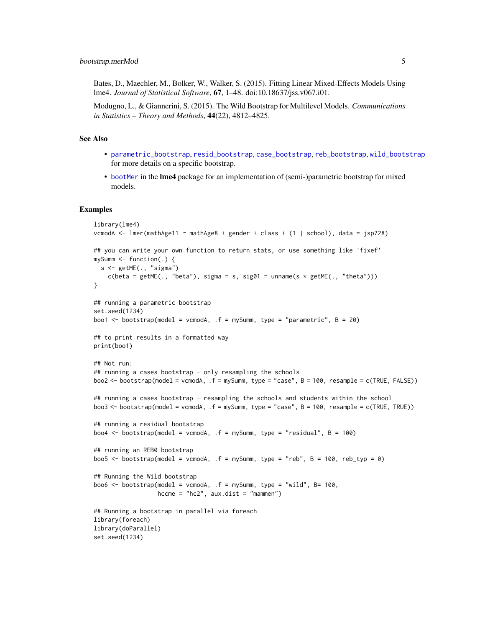<span id="page-4-0"></span>Bates, D., Maechler, M., Bolker, W., Walker, S. (2015). Fitting Linear Mixed-Effects Models Using lme4. *Journal of Statistical Software*, 67, 1–48. doi:10.18637/jss.v067.i01.

Modugno, L., & Giannerini, S. (2015). The Wild Bootstrap for Multilevel Models. *Communications in Statistics – Theory and Methods*, 44(22), 4812–4825.

#### See Also

- [parametric\\_bootstrap](#page-12-1), [resid\\_bootstrap](#page-16-1), [case\\_bootstrap](#page-7-1), [reb\\_bootstrap](#page-15-1), [wild\\_bootstrap](#page-18-1) for more details on a specific bootstrap.
- [bootMer](#page-0-0) in the **lme4** package for an implementation of (semi-)parametric bootstrap for mixed models.

#### Examples

```
library(lme4)
vcmodA <- lmer(mathAge11 ~ mathAge8 + gender + class + (1 | school), data = jsp728)
## you can write your own function to return stats, or use something like 'fixef'
mySumm \leq function(.) {
  s <- getME(., "sigma")
   c(beta = getME(., "beta"), sigma = s, sig01 = unname(s * getME(., "theta")))}
## running a parametric bootstrap
set.seed(1234)
boo1 \leq bootstrap(model = vcmodA, .f = mySumm, type = "parametric", B = 20)## to print results in a formatted way
print(boo1)
## Not run:
## running a cases bootstrap - only resampling the schools
boo2 <- bootstrap(model = vcmodA, .f = mySumm, type = "case", B = 100, resample = c(TRUE, FALSE))
## running a cases bootstrap - resampling the schools and students within the school
boo3 <- bootstrap(model = vcmodA, .f = mySumm, type = "case", B = 100, resample = c(TRUE, TRUE))
## running a residual bootstrap
boo4 \leq bootstrap(model = vcmodA, \cdot f = mySumm, type = "residual", B = 100)
## running an REB0 bootstrap
boo5 \le bootstrap(model = vcmodA, .f = mySumm, type = "reb", B = 100, reb_typ = 0)
## Running the Wild bootstrap
boo6 <- bootstrap(model = vcmodA, .f = mySumm, type = "wild", B= 100,
                  hccme = "hc2", aux.dist = "mammen")
## Running a bootstrap in parallel via foreach
library(foreach)
library(doParallel)
set.seed(1234)
```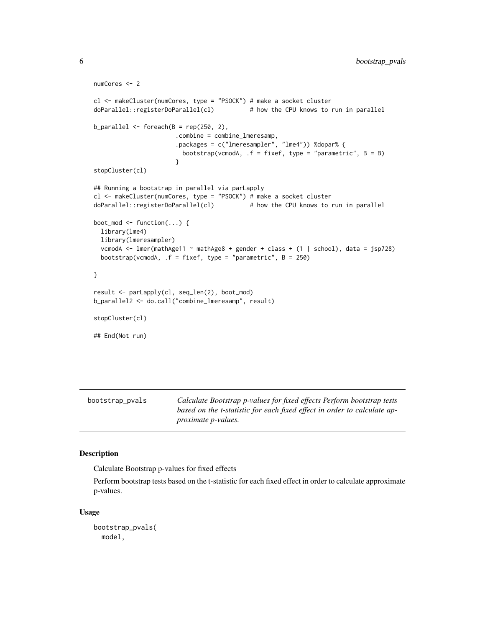```
numCores <- 2
cl <- makeCluster(numCores, type = "PSOCK") # make a socket cluster
doParallel::registerDoParallel(cl) # how the CPU knows to run in parallel
b_parallel < - foreach(B = rep(250, 2),.combine = combine_lmeresamp,
                      .packages = c("lmeresampler", "lme4")) %dopar% {
                        bootstrap(vcmodA, .f = fixef, type = "parametric", B = B)
                      }
stopCluster(cl)
## Running a bootstrap in parallel via parLapply
cl <- makeCluster(numCores, type = "PSOCK") # make a socket cluster
doParallel::registerDoParallel(cl) # how the CPU knows to run in parallel
boot_mod <- function(...) {
 library(lme4)
 library(lmeresampler)
 vcmodA <- lmer(mathAge11 ~ mathAge8 + gender + class + (1 | school), data = jsp728)
 bootstrap(vcmodA, .f = fixef, type = "parametric", B = 250)
}
result <- parLapply(cl, seq_len(2), boot_mod)
b_parallel2 <- do.call("combine_lmeresamp", result)
stopCluster(cl)
## End(Not run)
```

| bootstrap_pvals | Calculate Bootstrap p-values for fixed effects Perform bootstrap tests           |
|-----------------|----------------------------------------------------------------------------------|
|                 | based on the <i>t</i> -statistic for each fixed effect in order to calculate ap- |
|                 | <i>proximate p-values.</i>                                                       |

#### Description

Calculate Bootstrap p-values for fixed effects

Perform bootstrap tests based on the t-statistic for each fixed effect in order to calculate approximate p-values.

```
bootstrap_pvals(
 model,
```
<span id="page-5-0"></span>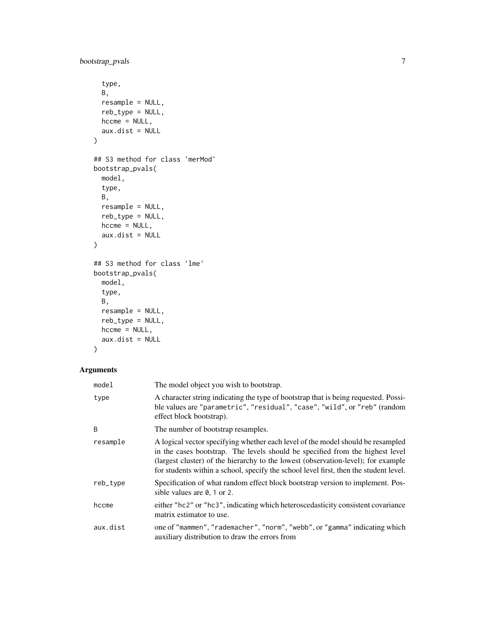```
type,
 B,
 resample = NULL,
 reb_type = NULL,
 hccme = NULL,aux.dist = NULL
\mathcal{L}## S3 method for class 'merMod'
bootstrap_pvals(
 model,
  type,
 B,
 resample = NULL,
 reb_type = NULL,
 hccme = NULL,aux.dist = NULL
\mathcal{L}## S3 method for class 'lme'
bootstrap_pvals(
 model,
 type,
 B,
 resample = NULL,
 reb_type = NULL,
 hccme = NULL,aux.dist = NULL
\mathcal{L}
```
# Arguments

| model    | The model object you wish to bootstrap.                                                                                                                                                                                                                                                                                                        |
|----------|------------------------------------------------------------------------------------------------------------------------------------------------------------------------------------------------------------------------------------------------------------------------------------------------------------------------------------------------|
| type     | A character string indicating the type of bootstrap that is being requested. Possi-<br>ble values are "parametric", "residual", "case", "wild", or "reb" (random<br>effect block bootstrap).                                                                                                                                                   |
| B        | The number of bootstrap resamples.                                                                                                                                                                                                                                                                                                             |
| resample | A logical vector specifying whether each level of the model should be resampled<br>in the cases bootstrap. The levels should be specified from the highest level<br>(largest cluster) of the hierarchy to the lowest (observation-level); for example<br>for students within a school, specify the school level first, then the student level. |
| reb_type | Specification of what random effect block bootstrap version to implement. Pos-<br>sible values are $\theta$ , 1 or 2.                                                                                                                                                                                                                          |
| hccme    | either "hc2" or "hc3", indicating which heteroscedasticity consistent covariance<br>matrix estimator to use.                                                                                                                                                                                                                                   |
| aux.dist | one of "mammen", "rademacher", "norm", "webb", or "gamma" indicating which<br>auxiliary distribution to draw the errors from                                                                                                                                                                                                                   |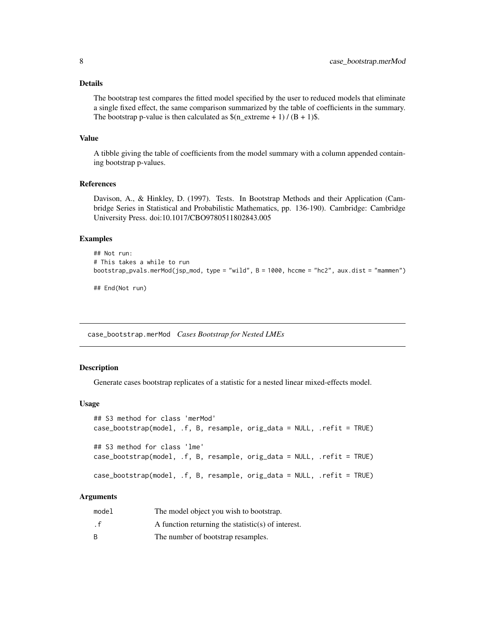#### <span id="page-7-0"></span>Details

The bootstrap test compares the fitted model specified by the user to reduced models that eliminate a single fixed effect, the same comparison summarized by the table of coefficients in the summary. The bootstrap p-value is then calculated as  $\frac{\S(n \text{ extreme } + 1)}{(B + 1)\$ .

#### Value

A tibble giving the table of coefficients from the model summary with a column appended containing bootstrap p-values.

#### References

Davison, A., & Hinkley, D. (1997). Tests. In Bootstrap Methods and their Application (Cambridge Series in Statistical and Probabilistic Mathematics, pp. 136-190). Cambridge: Cambridge University Press. doi:10.1017/CBO9780511802843.005

#### Examples

```
## Not run:
# This takes a while to run
bootstrap_pvals.merMod(jsp_mod, type = "wild", B = 1000, hccme = "hc2", aux.dist = "mammen")
```
## End(Not run)

case\_bootstrap.merMod *Cases Bootstrap for Nested LMEs*

#### <span id="page-7-1"></span>**Description**

Generate cases bootstrap replicates of a statistic for a nested linear mixed-effects model.

#### Usage

```
## S3 method for class 'merMod'
case_bootstrap(model, .f, B, resample, orig_data = NULL, .refit = TRUE)
## S3 method for class 'lme'
case_bootstrap(model, .f, B, resample, orig_data = NULL, .refit = TRUE)
case_bootstrap(model, .f, B, resample, orig_data = NULL, .refit = TRUE)
```
#### Arguments

| model | The model object you wish to bootstrap.            |
|-------|----------------------------------------------------|
| . f   | A function returning the statistic(s) of interest. |
| R     | The number of bootstrap resamples.                 |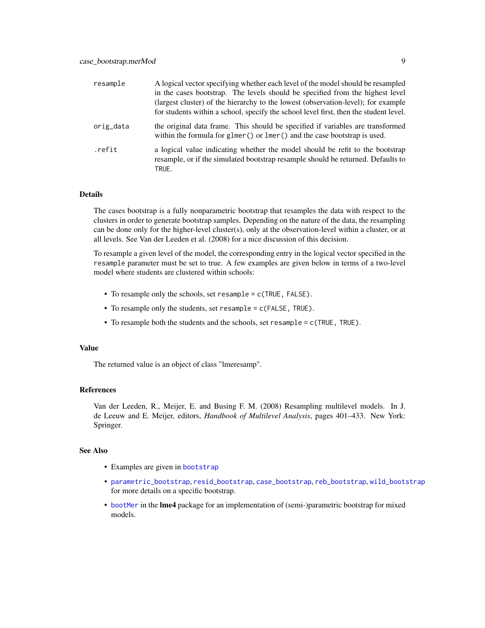<span id="page-8-0"></span>

| resample  | A logical vector specifying whether each level of the model should be resampled<br>in the cases bootstrap. The levels should be specified from the highest level           |
|-----------|----------------------------------------------------------------------------------------------------------------------------------------------------------------------------|
|           | (largest cluster) of the hierarchy to the lowest (observation-level); for example<br>for students within a school, specify the school level first, then the student level. |
| orig_data | the original data frame. This should be specified if variables are transformed<br>within the formula for glmer() or $lmer$ ) and the case bootstrap is used.               |
| .refit    | a logical value indicating whether the model should be refit to the bootstrap<br>resample, or if the simulated bootstrap resample should be returned. Defaults to<br>TRUE. |

#### Details

The cases bootstrap is a fully nonparametric bootstrap that resamples the data with respect to the clusters in order to generate bootstrap samples. Depending on the nature of the data, the resampling can be done only for the higher-level cluster(s), only at the observation-level within a cluster, or at all levels. See Van der Leeden et al. (2008) for a nice discussion of this decision.

To resample a given level of the model, the corresponding entry in the logical vector specified in the resample parameter must be set to true. A few examples are given below in terms of a two-level model where students are clustered within schools:

- To resample only the schools, set resample = c(TRUE, FALSE).
- To resample only the students, set resample = c(FALSE, TRUE).
- To resample both the students and the schools, set resample = c(TRUE, TRUE).

#### Value

The returned value is an object of class "lmeresamp".

#### References

Van der Leeden, R., Meijer, E. and Busing F. M. (2008) Resampling multilevel models. In J. de Leeuw and E. Meijer, editors, *Handbook of Multilevel Analysis*, pages 401–433. New York: Springer.

### See Also

- Examples are given in [bootstrap](#page-1-1)
- [parametric\\_bootstrap](#page-12-1), [resid\\_bootstrap](#page-16-1), [case\\_bootstrap](#page-7-1), [reb\\_bootstrap](#page-15-1), [wild\\_bootstrap](#page-18-1) for more details on a specific bootstrap.
- [bootMer](#page-0-0) in the lme4 package for an implementation of (semi-)parametric bootstrap for mixed models.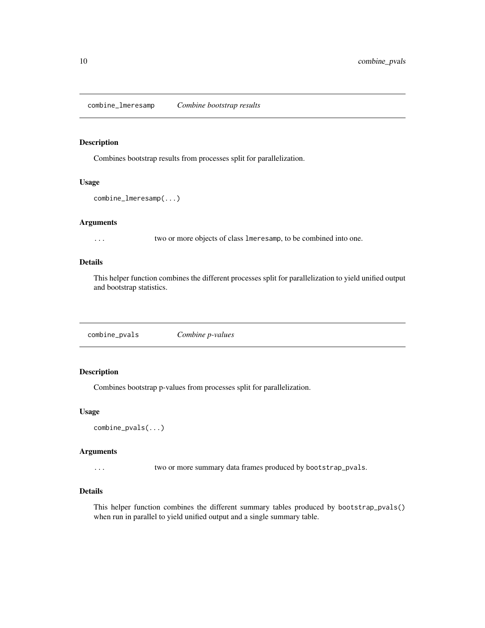<span id="page-9-0"></span>combine\_lmeresamp *Combine bootstrap results*

#### Description

Combines bootstrap results from processes split for parallelization.

# Usage

combine\_lmeresamp(...)

# Arguments

... two or more objects of class lmeresamp, to be combined into one.

#### Details

This helper function combines the different processes split for parallelization to yield unified output and bootstrap statistics.

combine\_pvals *Combine p-values*

# Description

Combines bootstrap p-values from processes split for parallelization.

#### Usage

```
combine_pvals(...)
```
#### Arguments

... two or more summary data frames produced by bootstrap\_pvals.

#### Details

This helper function combines the different summary tables produced by bootstrap\_pvals() when run in parallel to yield unified output and a single summary table.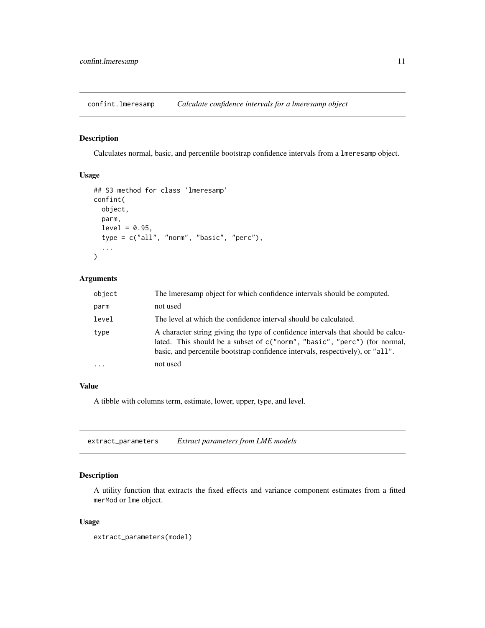<span id="page-10-0"></span>confint.lmeresamp *Calculate confidence intervals for a lmeresamp object*

# Description

Calculates normal, basic, and percentile bootstrap confidence intervals from a lmeresamp object.

# Usage

```
## S3 method for class 'lmeresamp'
confint(
  object,
 parm,
  level = 0.95,type = c("all", "norm", "basic", "perc"),
  ...
)
```
# Arguments

| object   | The Imeresamp object for which confidence intervals should be computed.                                                                                                                                                                         |
|----------|-------------------------------------------------------------------------------------------------------------------------------------------------------------------------------------------------------------------------------------------------|
| parm     | not used                                                                                                                                                                                                                                        |
| level    | The level at which the confidence interval should be calculated.                                                                                                                                                                                |
| type     | A character string giving the type of confidence intervals that should be calcu-<br>lated. This should be a subset of c("norm", "basic", "perc") (for normal,<br>basic, and percentile bootstrap confidence intervals, respectively), or "all". |
| $\cdots$ | not used                                                                                                                                                                                                                                        |

# Value

A tibble with columns term, estimate, lower, upper, type, and level.

extract\_parameters *Extract parameters from LME models*

# Description

A utility function that extracts the fixed effects and variance component estimates from a fitted merMod or lme object.

```
extract_parameters(model)
```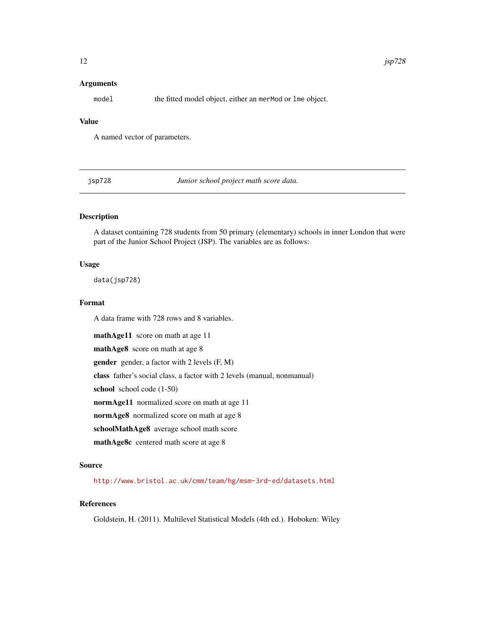### <span id="page-11-0"></span>Arguments

model the fitted model object, either an merMod or lme object.

# Value

A named vector of parameters.

jsp728 *Junior school project math score data.*

# Description

A dataset containing 728 students from 50 primary (elementary) schools in inner London that were part of the Junior School Project (JSP). The variables are as follows:

#### Usage

data(jsp728)

#### Format

A data frame with 728 rows and 8 variables.

mathAge11 score on math at age 11 mathAge8 score on math at age 8 gender gender, a factor with 2 levels (F, M) class father's social class, a factor with 2 levels (manual, nonmanual) school school code  $(1-50)$ normAge11 normalized score on math at age 11 normAge8 normalized score on math at age 8 schoolMathAge8 average school math score mathAge8c centered math score at age 8

#### Source

<http://www.bristol.ac.uk/cmm/team/hg/msm-3rd-ed/datasets.html>

# References

Goldstein, H. (2011). Multilevel Statistical Models (4th ed.). Hoboken: Wiley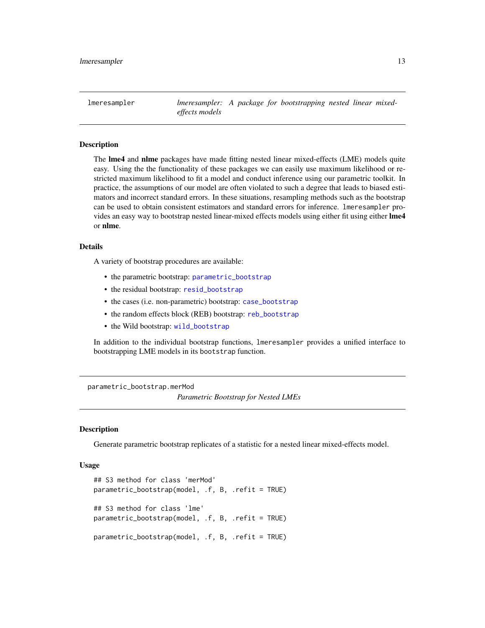<span id="page-12-0"></span>lmeresampler *lmeresampler: A package for bootstrapping nested linear mixedeffects models*

# Description

The **lme4** and **nlme** packages have made fitting nested linear mixed-effects (LME) models quite easy. Using the the functionality of these packages we can easily use maximum likelihood or restricted maximum likelihood to fit a model and conduct inference using our parametric toolkit. In practice, the assumptions of our model are often violated to such a degree that leads to biased estimators and incorrect standard errors. In these situations, resampling methods such as the bootstrap can be used to obtain consistent estimators and standard errors for inference. lmeresampler provides an easy way to bootstrap nested linear-mixed effects models using either fit using either lme4 or nlme.

#### Details

A variety of bootstrap procedures are available:

- the parametric bootstrap: [parametric\\_bootstrap](#page-12-1)
- the residual bootstrap: [resid\\_bootstrap](#page-16-1)
- the cases (i.e. non-parametric) bootstrap: [case\\_bootstrap](#page-7-1)
- the random effects block (REB) bootstrap: [reb\\_bootstrap](#page-15-1)
- the Wild bootstrap: [wild\\_bootstrap](#page-18-1)

In addition to the individual bootstrap functions, lmeresampler provides a unified interface to bootstrapping LME models in its bootstrap function.

parametric\_bootstrap.merMod

*Parametric Bootstrap for Nested LMEs*

#### <span id="page-12-1"></span>**Description**

Generate parametric bootstrap replicates of a statistic for a nested linear mixed-effects model.

```
## S3 method for class 'merMod'
parametric_bootstrap(model, .f, B, .refit = TRUE)
## S3 method for class 'lme'
parametric_bootstrap(model, .f, B, .refit = TRUE)
parametric_bootstrap(model, .f, B, .refit = TRUE)
```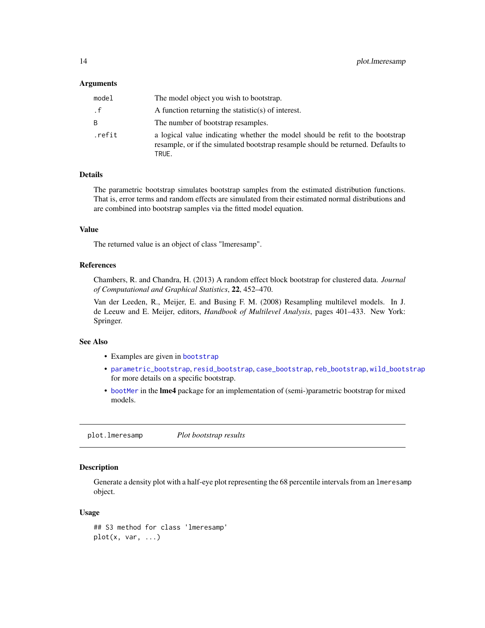#### <span id="page-13-0"></span>Arguments

| model  | The model object you wish to bootstrap.                                                                                                                                    |
|--------|----------------------------------------------------------------------------------------------------------------------------------------------------------------------------|
| . f    | A function returning the statistic(s) of interest.                                                                                                                         |
| B.     | The number of bootstrap resamples.                                                                                                                                         |
| .refit | a logical value indicating whether the model should be refit to the bootstrap<br>resample, or if the simulated bootstrap resample should be returned. Defaults to<br>TRUE. |

# Details

The parametric bootstrap simulates bootstrap samples from the estimated distribution functions. That is, error terms and random effects are simulated from their estimated normal distributions and are combined into bootstrap samples via the fitted model equation.

#### Value

The returned value is an object of class "lmeresamp".

#### References

Chambers, R. and Chandra, H. (2013) A random effect block bootstrap for clustered data. *Journal of Computational and Graphical Statistics*, 22, 452–470.

Van der Leeden, R., Meijer, E. and Busing F. M. (2008) Resampling multilevel models. In J. de Leeuw and E. Meijer, editors, *Handbook of Multilevel Analysis*, pages 401–433. New York: Springer.

# See Also

- Examples are given in [bootstrap](#page-1-1)
- [parametric\\_bootstrap](#page-12-1), [resid\\_bootstrap](#page-16-1), [case\\_bootstrap](#page-7-1), [reb\\_bootstrap](#page-15-1), [wild\\_bootstrap](#page-18-1) for more details on a specific bootstrap.
- [bootMer](#page-0-0) in the lme4 package for an implementation of (semi-)parametric bootstrap for mixed models.

plot.lmeresamp *Plot bootstrap results*

# Description

Generate a density plot with a half-eye plot representing the 68 percentile intervals from an lmeresamp object.

```
## S3 method for class 'lmeresamp'
plot(x, var, ...)
```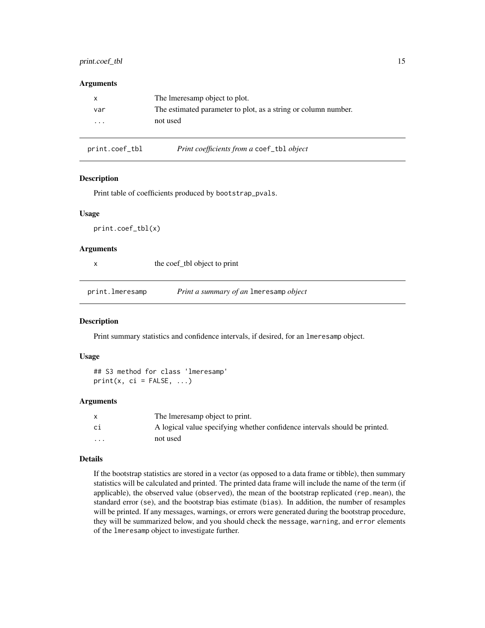# <span id="page-14-0"></span>print.coef\_tbl 15

#### **Arguments**

|          | The Imeresamp object to plot.                                  |
|----------|----------------------------------------------------------------|
| var      | The estimated parameter to plot, as a string or column number. |
| $\cdots$ | not used                                                       |
|          |                                                                |

| print.coef_tbl | Print coefficients from a coef_tbl object |  |
|----------------|-------------------------------------------|--|
|----------------|-------------------------------------------|--|

# Description

Print table of coefficients produced by bootstrap\_pvals.

#### Usage

print.coef\_tbl(x)

# Arguments

|                 | the coef_tbl object to print           |
|-----------------|----------------------------------------|
|                 |                                        |
| print.lmeresamp | Print a summary of an Imeresamp object |

#### Description

Print summary statistics and confidence intervals, if desired, for an lmeresamp object.

#### Usage

```
## S3 method for class 'lmeresamp'
print(x, ci = FALSE, ...)
```
#### Arguments

|          | The Imeresamp object to print.                                             |
|----------|----------------------------------------------------------------------------|
| ci       | A logical value specifying whether confidence intervals should be printed. |
| $\cdots$ | not used                                                                   |

#### Details

If the bootstrap statistics are stored in a vector (as opposed to a data frame or tibble), then summary statistics will be calculated and printed. The printed data frame will include the name of the term (if applicable), the observed value (observed), the mean of the bootstrap replicated (rep.mean), the standard error (se), and the bootstrap bias estimate (bias). In addition, the number of resamples will be printed. If any messages, warnings, or errors were generated during the bootstrap procedure, they will be summarized below, and you should check the message, warning, and error elements of the lmeresamp object to investigate further.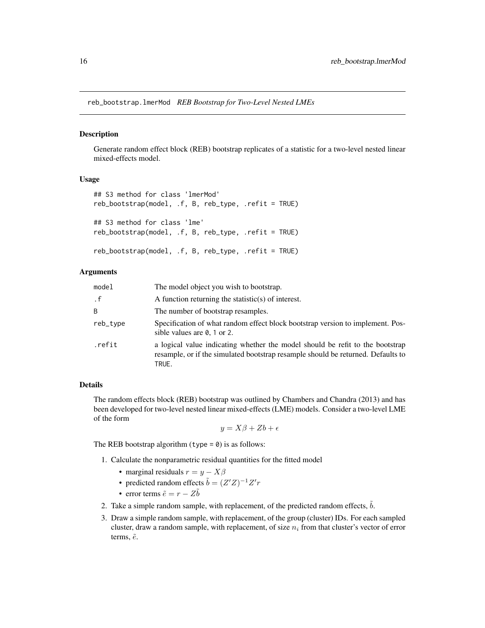<span id="page-15-0"></span>reb\_bootstrap.lmerMod *REB Bootstrap for Two-Level Nested LMEs*

#### <span id="page-15-1"></span>Description

Generate random effect block (REB) bootstrap replicates of a statistic for a two-level nested linear mixed-effects model.

#### Usage

```
## S3 method for class 'lmerMod'
reb_bootstrap(model, .f, B, reb_type, .refit = TRUE)
## S3 method for class 'lme'
reb_bootstrap(model, .f, B, reb_type, .refit = TRUE)
reb_bootstrap(model, .f, B, reb_type, .refit = TRUE)
```
#### Arguments

| model    | The model object you wish to bootstrap.                                                                                                                                    |
|----------|----------------------------------------------------------------------------------------------------------------------------------------------------------------------------|
| . f      | A function returning the statistic(s) of interest.                                                                                                                         |
| B        | The number of bootstrap resamples.                                                                                                                                         |
| reb_type | Specification of what random effect block bootstrap version to implement. Pos-<br>sible values are $\theta$ , 1 or 2.                                                      |
| .refit   | a logical value indicating whether the model should be refit to the bootstrap<br>resample, or if the simulated bootstrap resample should be returned. Defaults to<br>TRUE. |

# Details

The random effects block (REB) bootstrap was outlined by Chambers and Chandra (2013) and has been developed for two-level nested linear mixed-effects (LME) models. Consider a two-level LME of the form

 $y = X\beta + Zb + \epsilon$ 

The REB bootstrap algorithm (type  $= 0$ ) is as follows:

- 1. Calculate the nonparametric residual quantities for the fitted model
	- marginal residuals  $r = y X\beta$
	- predicted random effects  $\tilde{b} = (Z'Z)^{-1}Z'r$
	- error terms  $\tilde{e} = r Z\tilde{b}$
- 2. Take a simple random sample, with replacement, of the predicted random effects,  $\ddot{b}$ .
- 3. Draw a simple random sample, with replacement, of the group (cluster) IDs. For each sampled cluster, draw a random sample, with replacement, of size  $n_i$  from that cluster's vector of error terms,  $\tilde{e}$ .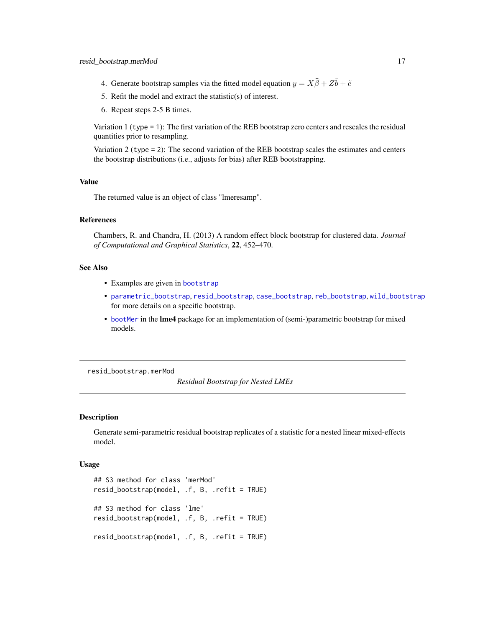- <span id="page-16-0"></span>4. Generate bootstrap samples via the fitted model equation  $y = X\hat{\beta} + Z\tilde{b} + \tilde{e}$
- 5. Refit the model and extract the statistic(s) of interest.
- 6. Repeat steps 2-5 B times.

Variation 1 (type = 1): The first variation of the REB bootstrap zero centers and rescales the residual quantities prior to resampling.

Variation 2 (type  $= 2$ ): The second variation of the REB bootstrap scales the estimates and centers the bootstrap distributions (i.e., adjusts for bias) after REB bootstrapping.

#### Value

The returned value is an object of class "lmeresamp".

#### References

Chambers, R. and Chandra, H. (2013) A random effect block bootstrap for clustered data. *Journal of Computational and Graphical Statistics*, 22, 452–470.

#### See Also

- Examples are given in [bootstrap](#page-1-1)
- [parametric\\_bootstrap](#page-12-1), [resid\\_bootstrap](#page-16-1), [case\\_bootstrap](#page-7-1), [reb\\_bootstrap](#page-15-1), [wild\\_bootstrap](#page-18-1) for more details on a specific bootstrap.
- [bootMer](#page-0-0) in the lme4 package for an implementation of (semi-)parametric bootstrap for mixed models.

resid\_bootstrap.merMod

*Residual Bootstrap for Nested LMEs*

#### <span id="page-16-1"></span>**Description**

Generate semi-parametric residual bootstrap replicates of a statistic for a nested linear mixed-effects model.

```
## S3 method for class 'merMod'
resid_bootstrap(model, .f, B, .refit = TRUE)
## S3 method for class 'lme'
resid_bootstrap(model, .f, B, .refit = TRUE)
resid_bootstrap(model, .f, B, .refit = TRUE)
```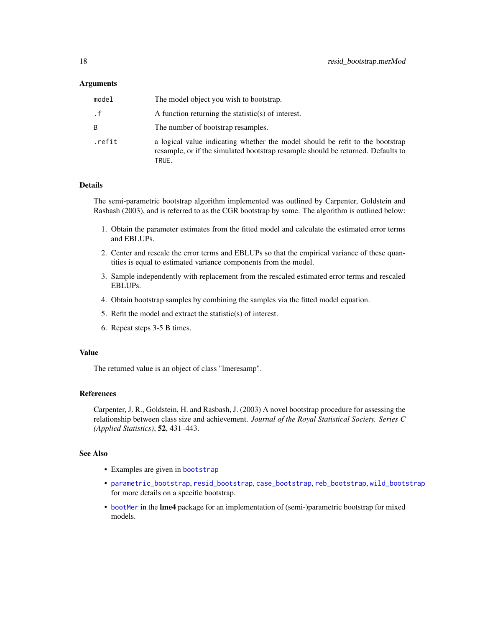#### <span id="page-17-0"></span>Arguments

| model  | The model object you wish to bootstrap.                                                                                                                                    |
|--------|----------------------------------------------------------------------------------------------------------------------------------------------------------------------------|
| . f    | A function returning the statistic(s) of interest.                                                                                                                         |
| B.     | The number of bootstrap resamples.                                                                                                                                         |
| .refit | a logical value indicating whether the model should be refit to the bootstrap<br>resample, or if the simulated bootstrap resample should be returned. Defaults to<br>TRUE. |

# Details

The semi-parametric bootstrap algorithm implemented was outlined by Carpenter, Goldstein and Rasbash (2003), and is referred to as the CGR bootstrap by some. The algorithm is outlined below:

- 1. Obtain the parameter estimates from the fitted model and calculate the estimated error terms and EBLUPs.
- 2. Center and rescale the error terms and EBLUPs so that the empirical variance of these quantities is equal to estimated variance components from the model.
- 3. Sample independently with replacement from the rescaled estimated error terms and rescaled EBLUPs.
- 4. Obtain bootstrap samples by combining the samples via the fitted model equation.
- 5. Refit the model and extract the statistic(s) of interest.
- 6. Repeat steps 3-5 B times.

# Value

The returned value is an object of class "lmeresamp".

#### References

Carpenter, J. R., Goldstein, H. and Rasbash, J. (2003) A novel bootstrap procedure for assessing the relationship between class size and achievement. *Journal of the Royal Statistical Society. Series C (Applied Statistics)*, 52, 431–443.

# See Also

- Examples are given in [bootstrap](#page-1-1)
- [parametric\\_bootstrap](#page-12-1), [resid\\_bootstrap](#page-16-1), [case\\_bootstrap](#page-7-1), [reb\\_bootstrap](#page-15-1), [wild\\_bootstrap](#page-18-1) for more details on a specific bootstrap.
- [bootMer](#page-0-0) in the lme4 package for an implementation of (semi-)parametric bootstrap for mixed models.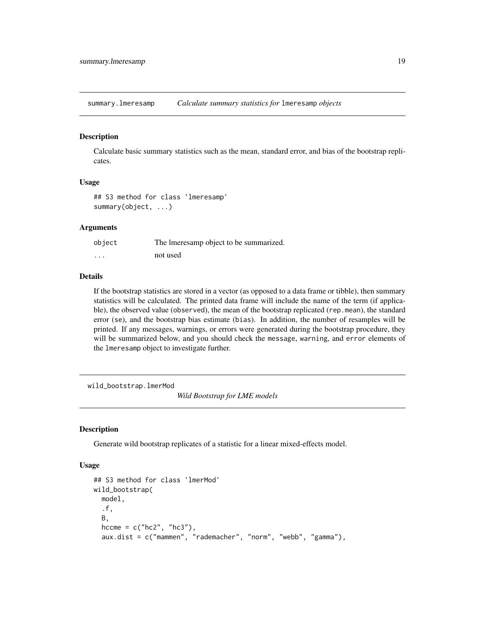<span id="page-18-0"></span>summary.lmeresamp *Calculate summary statistics for* lmeresamp *objects*

#### Description

Calculate basic summary statistics such as the mean, standard error, and bias of the bootstrap replicates.

# Usage

```
## S3 method for class 'lmeresamp'
summary(object, ...)
```
#### Arguments

| object   | The Imeresamp object to be summarized. |
|----------|----------------------------------------|
| $\cdots$ | not used                               |

#### Details

If the bootstrap statistics are stored in a vector (as opposed to a data frame or tibble), then summary statistics will be calculated. The printed data frame will include the name of the term (if applicable), the observed value (observed), the mean of the bootstrap replicated (rep.mean), the standard error (se), and the bootstrap bias estimate (bias). In addition, the number of resamples will be printed. If any messages, warnings, or errors were generated during the bootstrap procedure, they will be summarized below, and you should check the message, warning, and error elements of the lmeresamp object to investigate further.

wild\_bootstrap.lmerMod

*Wild Bootstrap for LME models*

#### <span id="page-18-1"></span>Description

Generate wild bootstrap replicates of a statistic for a linear mixed-effects model.

```
## S3 method for class 'lmerMod'
wild_bootstrap(
 model,
  .f,
 B,
  hccme = c("hc2", "hc3"),aux.dist = c("mammen", "rademacher", "norm", "webb", "gamma"),
```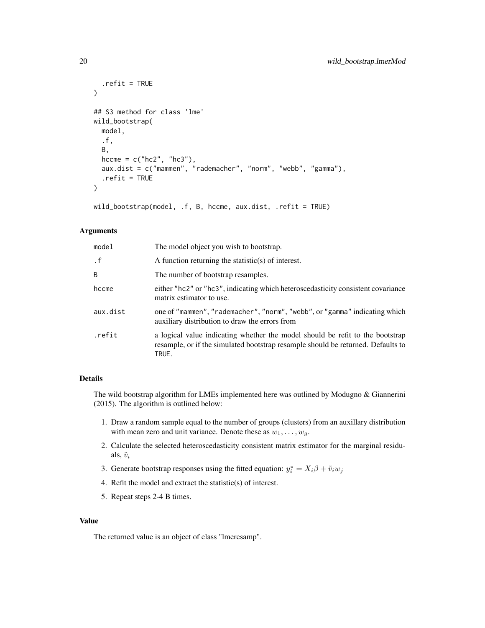```
.refit = TRUE
\lambda## S3 method for class 'lme'
wild_bootstrap(
  model,
  .f,
  B,
  hccme = c("hc2", "hc3"),aux.dist = c("mammen", "rademacher", "norm", "webb", "gamma"),
  .refit = TRUE
\mathcal{E}
```
wild\_bootstrap(model, .f, B, hccme, aux.dist, .refit = TRUE)

# Arguments

| model     | The model object you wish to bootstrap.                                                                                                                                    |
|-----------|----------------------------------------------------------------------------------------------------------------------------------------------------------------------------|
| $\cdot$ f | A function returning the statistic(s) of interest.                                                                                                                         |
| B         | The number of bootstrap resamples.                                                                                                                                         |
| hccme     | either "hc2" or "hc3", indicating which heteroscedasticity consistent covariance<br>matrix estimator to use.                                                               |
| aux.dist  | one of "mammen", "rademacher", "norm", "webb", or "gamma" indicating which<br>auxiliary distribution to draw the errors from                                               |
| .refit    | a logical value indicating whether the model should be refit to the bootstrap<br>resample, or if the simulated bootstrap resample should be returned. Defaults to<br>TRUE. |

# Details

The wild bootstrap algorithm for LMEs implemented here was outlined by Modugno & Giannerini (2015). The algorithm is outlined below:

- 1. Draw a random sample equal to the number of groups (clusters) from an auxillary distribution with mean zero and unit variance. Denote these as  $w_1, \ldots, w_g$ .
- 2. Calculate the selected heteroscedasticity consistent matrix estimator for the marginal residuals,  $\tilde{v}_i$
- 3. Generate bootstrap responses using the fitted equation:  $y_i^* = X_i \beta + \tilde{v}_i w_j$
- 4. Refit the model and extract the statistic(s) of interest.
- 5. Repeat steps 2-4 B times.

#### Value

The returned value is an object of class "lmeresamp".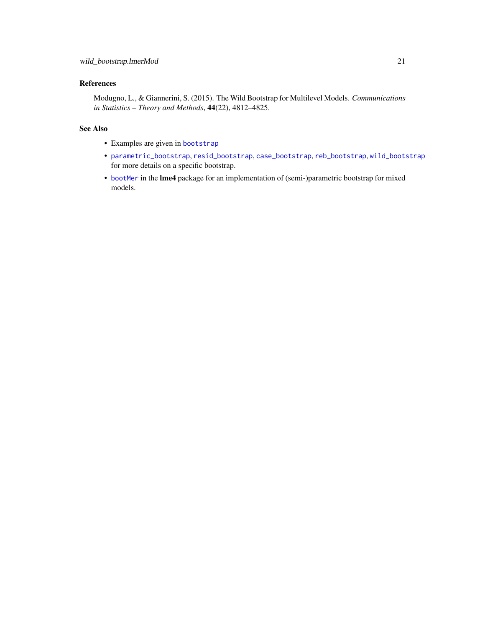# <span id="page-20-0"></span>References

Modugno, L., & Giannerini, S. (2015). The Wild Bootstrap for Multilevel Models. *Communications in Statistics – Theory and Methods*, 44(22), 4812–4825.

# See Also

- Examples are given in [bootstrap](#page-1-1)
- [parametric\\_bootstrap](#page-12-1), [resid\\_bootstrap](#page-16-1), [case\\_bootstrap](#page-7-1), [reb\\_bootstrap](#page-15-1), [wild\\_bootstrap](#page-18-1) for more details on a specific bootstrap.
- [bootMer](#page-0-0) in the lme4 package for an implementation of (semi-)parametric bootstrap for mixed models.